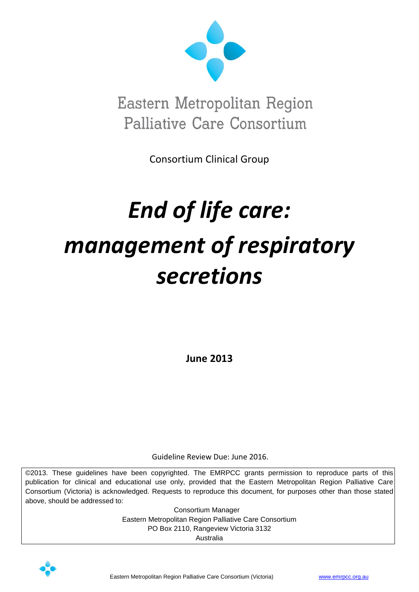

Eastern Metropolitan Region Palliative Care Consortium

Consortium Clinical Group

# *End of life care: management of respiratory secretions*

**June 2013**

Guideline Review Due: June 2016.

©2013. These guidelines have been copyrighted. The EMRPCC grants permission to reproduce parts of this publication for clinical and educational use only, provided that the Eastern Metropolitan Region Palliative Care Consortium (Victoria) is acknowledged. Requests to reproduce this document, for purposes other than those stated above, should be addressed to:

> Consortium Manager Eastern Metropolitan Region Palliative Care Consortium PO Box 2110, Rangeview Victoria 3132 Australia

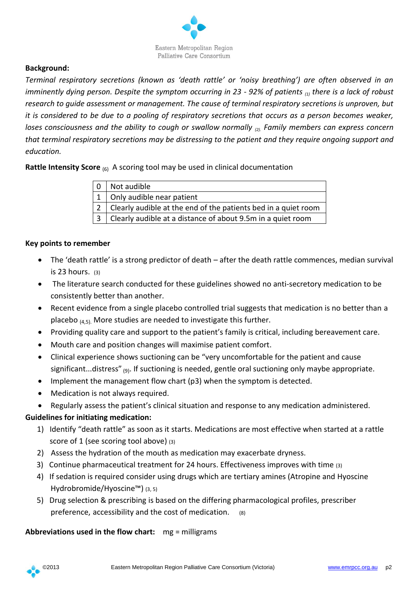

# **Background:**

*Terminal respiratory secretions (known as 'death rattle' or 'noisy breathing') are often observed in an imminently dying person. Despite the symptom occurring in 23 - 92% of patients (1) there is a lack of robust research to guide assessment or management. The cause of terminal respiratory secretions is unproven, but it is considered to be due to a pooling of respiratory secretions that occurs as a person becomes weaker, loses consciousness and the ability to cough or swallow normally <sub>(2)</sub>. Family members can express concern that terminal respiratory secretions may be distressing to the patient and they require ongoing support and education.* 

**Rattle Intensity Score** (6) A scoring tool may be used in clinical documentation

| $\overline{0}$ | Not audible                                                    |
|----------------|----------------------------------------------------------------|
|                | $1$   Only audible near patient                                |
|                | Clearly audible at the end of the patients bed in a quiet room |
|                | Clearly audible at a distance of about 9.5m in a quiet room    |

### **Key points to remember**

- The 'death rattle' is a strong predictor of death after the death rattle commences, median survival is  $23$  hours.  $(3)$
- The literature search conducted for these guidelines showed no anti-secretory medication to be consistently better than another.
- Recent evidence from a single placebo controlled trial suggests that medication is no better than a placebo  $(4.5)$ . More studies are needed to investigate this further.
- Providing quality care and support to the patient's family is critical, including bereavement care.
- Mouth care and position changes will maximise patient comfort.
- Clinical experience shows suctioning can be "very uncomfortable for the patient and cause significant...distress" <sub>(9)</sub>. If suctioning is needed, gentle oral suctioning only maybe appropriate.
- Implement the management flow chart (p3) when the symptom is detected.
- Medication is not always required.
- Regularly assess the patient's clinical situation and response to any medication administered.

# **Guidelines for initiating medication:**

- 1) Identify "death rattle" as soon as it starts. Medications are most effective when started at a rattle score of 1 (see scoring tool above) (3)
- 2) Assess the hydration of the mouth as medication may exacerbate dryness.
- 3) Continue pharmaceutical treatment for 24 hours. Effectiveness improves with time (3)
- 4) If sedation is required consider using drugs which are tertiary amines (Atropine and Hyoscine Hydrobromide/Hyoscine™) (3, 5)
- 5) Drug selection & prescribing is based on the differing pharmacological profiles, prescriber preference, accessibility and the cost of medication. (8)

# **Abbreviations used in the flow chart:** mg = milligrams

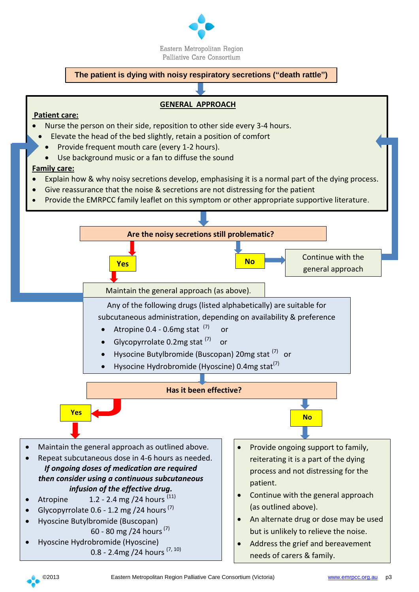

#### **The patient is dying with noisy respiratory secretions ("death rattle")**